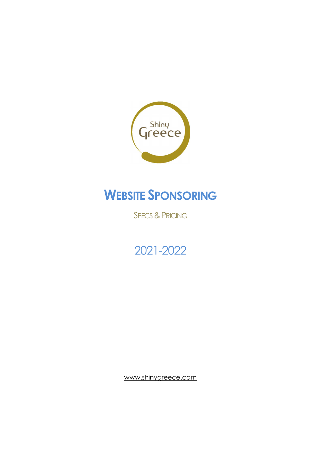

## WEBSITE SPONSORING

**SPECS & PRICING** 

## 2021-2022

www.shinygreece.com